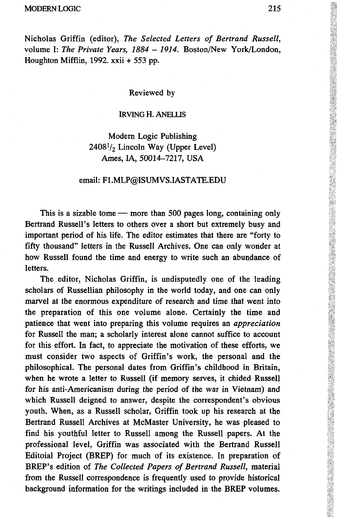#### MODERN LOGIC 215

Nicholas Griffin (editor), *The Selected Letters of Bertrand Russell,* volume I: *The Private Years, 1884 - 1914.* Boston/New York/London, Houghton Mifflin, 1992. xxii + 553 pp.

### Reviewed by

## IRVING H.ANELUS

# Modern Logic Publishing  $2408<sup>1</sup>/<sub>2</sub>$  Lincoln Way (Upper Level) Ames, IA, 50014-7217, USA

## email: F1.MLP@ISUMVS.IASTATE.EDU

This is a sizable tome — more than 500 pages long, containing only Bertrand Russell's letters to others over a short but extremely busy and important period of his life. The editor estimates that there are "forty to fifty thousand" letters in the Russell Archives. One can only wonder at how Russell found the time and energy to write such an abundance of letters.

The editor, Nicholas Griffin, is undisputedly one of the leading scholars of Russellian philosophy in the world today, and one can only marvel at the enormous expenditure of research and time that went into the preparation of this one volume alone. Certainly the time and patience that went into preparing this volume requires an *appreciation* for Russell the man; a scholarly interest alone cannot suffice to account for this effort. In fact, to appreciate the motivation of these efforts, we must consider two aspects of Griffin's work, the personal and the philosophical. The personal dates from Griffin's childhood in Britain, when he wrote a letter to Russell (if memory serves, it chided Russell for his anti-Americanism during the period of the war in Vietnam) and which Russell deigned to answer, despite the correspondent's obvious youth. When, as a Russell scholar, Griffin took up his research at the Bertrand Russell Archives at McMaster University, he was pleased to find his youthful letter to Russell among the Russell papers. At the professional level, Griffin was associated with the Bertrand Russell Editoial Project (BREP) for much of its existence. In preparation of BREP's edition of *The Collected Papers of Bertrand Russell,* material from the Russell correspondence is frequently used to provide historical background information for the writings included in the BREP volumes.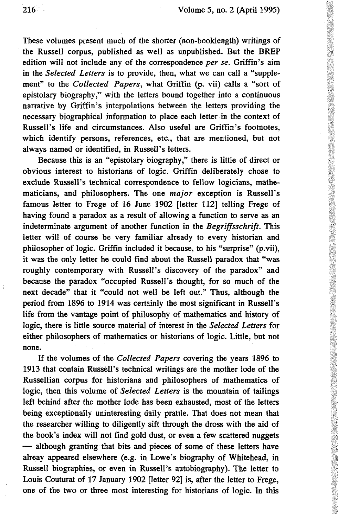These volumes present much of the shorter (non-booklength) writings of the Russell corpus, published as well as unpublished. But the BREP edition will not include any of the correspondence *per se.* Griffin's aim in the *Selected Letters* is to provide, then, what we can call a "supplement" to the *Collected Papers,* what Griffin (p. vii) calls a "sort of epistolary biography," with the letters bound together into a continuous narrative by Griffin's interpolations between the letters providing the necessary biographical information to place each letter in the context of Russell's life and circumstances. Also useful are Griffin's footnotes, which identify persons, references, etc., that are mentioned, but not always named or identified, in Russell's letters.

Because this is an "epistolary biography," there is little of direct or obvious interest to historians of logic. Griffin deliberately chose to exclude Russell's technical correspondence to fellow logicians, mathematicians, and philosophers. The one *major* exception is Russell's famous letter to Frege of 16 June 1902 [letter 112] telling Frege of having found a paradox as a result of allowing a function to serve as an indeterminate argument of another function in the *Begriffsschrift.* This letter will of course be very familiar already to every historian and philosopher of logic. Griffin included it because, to his "surprise" (p.vii), it was the only letter he could find about the Russell paradox that "was roughly contemporary with Russell's discovery of the paradox" and because the paradox "occupied Russell's thought, for so much of the next decade" that it "could not well be left out." Thus, although the period from 1896 to 1914 was certainly the most significant in Russell's life from the vantage point of philosophy of mathematics and history of logic, there is little source material of interest in the *Selected Letters* for either philosophers of mathematics or historians of logic. Little, but not none.

If the volumes of the *Collected Papers* covering the years 1896 to 1913 that contain Russell's technical writings are the mother lode of the Russellian corpus for historians and philosophers of mathematics of logic, then this volume of *Selected Letters* is the mountain of tailings left behind after the mother lode has been exhausted, most of the letters being exceptionally uninteresting daily prattle. That does not mean that the researcher willing to diligently sift through the dross with the aid of the book's index will not find gold dust, or even a few scattered nuggets — although granting that bits and pieces of some of these letters have alreay appeared elsewhere (e.g. in Lowe's biography of Whitehead, in Russell biographies, or even in Russell's autobiography). The letter to Louis Couturat of 17 January 1902 [letter 92] is, after the letter to Frege, one of the two or three most interesting for historians of logic. In this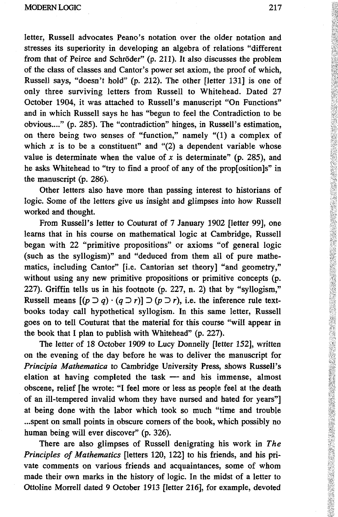letter, Russell advocates Peano's notation over the older notation and stresses its superiority in developing an algebra of relations "different from that of Peirce and Schröder" (p. 211). It also discusses the problem of the class of classes and Cantor's power set axiom, the proof of which, Russell says, "doesn't hold" (p. 212). The other [letter 131] is one of only three surviving letters from Russell to Whitehead. Dated 27 October 1904, it was attached to Russell's manuscript "On Functions" and in which Russell says he has "begun to feel the Contradiction to be obvious...." (p. 285). The "contradiction" hinges, in Russell's estimation, on there being two senses of "function," namely "(1) a complex of which  $x$  is to be a constituent" and "(2) a dependent variable whose value is determinate when the value of  $x$  is determinate" (p. 285), and he asks Whitehead to "try to find a proof of any of the prop[osition]s" in the manuscript (p. 286).

Other letters also have more than passing interest to historians of logic. Some of the letters give us insight and glimpses into how Russell worked and thought.

From Russell's letter to Couturat of 7 January 1902 [letter 99], one learns that in his course on mathematical logic at Cambridge, Russell began with 22 "primitive propositions" or axioms "of general logic (such as the syllogism)" and "deduced from them all of pure mathematics, including Cantor" [i.e. Cantorian set theory] "and geometry," without using any new primitive propositions or primitive concepts (p. 227). Griffin tells us in his footnote (p. 227, n. 2) that by "syllogism," Russell means  $[(p \supset q) \cdot (q \supset r)] \supset (p \supset r)$ , i.e. the inference rule textbooks today call hypothetical syllogism. In this same letter, Russell goes on to tell Couturat that the material for this course "will appear in the book that I plan to publish with Whitehead" (p. 227).

The letter of 18 October 1909 to Lucy Donnelly [letter 152], written on the evening of the day before he was to deliver the manuscript for *Principia Mathematica* to Cambridge University Press, shows Russell's elation at having completed the task — and his immense, almost obscene, relief [he wrote: "I feel more or less as people feel at the death of an ill-tempered invalid whom they have nursed and hated for years"] at being done with the labor which took so much "time and trouble ...spent on small points in obscure corners of the book, which possibly no human being will ever discover" (p. 326).

There are also glimpses of Russell denigrating his work in *The Principles of Mathematics* [letters 120, 122] to his friends, and his private comments on various friends and acquaintances, some of whom made their own marks in the history of logic. In the midst of a letter to Ottoline Morrell dated 9 October 1913 [letter 216], for example, devoted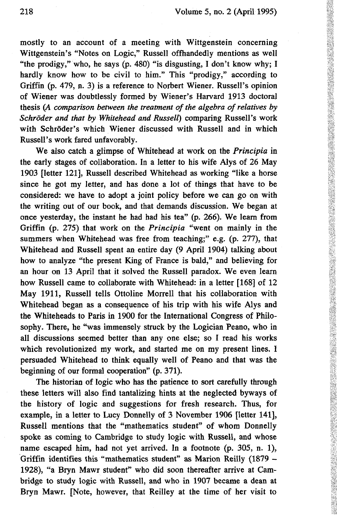mostly to an account of a meeting with Wittgenstein concerning Wittgenstein's "Notes on Logic," Russell offhandedly mentions as well "the prodigy," who, he says (p. 480) "is disgusting, I don't know why; I hardly know how to be civil to him." This "prodigy," according to Griffin (p. 479, n. 3) is a reference to Norbert Wiener. Russell's opinion of Wiener was doubtlessly formed by Wiener's Harvard 1913 doctoral thesis *(A comparison between the treatment of the algebra of relatives by Schröder and that by Whitehead and Russell)* comparing Russell's work with Schröder's which Wiener discussed with Russell and in which Russell's work fared unfavorably.

We also catch a glimpse of Whitehead at work on the *Principia* in the early stages of collaboration. In a letter to his wife Alys of 26 May 1903 [letter 121], Russell described Whitehead as working "like a horse since he got my letter, and has done a lot of things that have to be considered: we have to adopt a joint policy before we can go on with the writing out of our book, and that demands discussion. We began at once yesterday, the instant he had had his tea" (p. 266). We learn from Griffin (p. 275) that work on the *Principia* "went on mainly in the summers when Whitehead was free from teaching;" e.g. (p. 277), that Whitehead and Russell spent an entire day (9 April 1904) talking about how to analyze "the present King of France is bald," and believing for an hour on 13 April that it solved the Russell paradox. We even learn how Russell came to collaborate with Whitehead: in a letter [168] of 12 May 1911, Russell tells Ottoline Morrell that his collaboration with Whitehead began as a consequence of his trip with his wife Alys and the Whiteheads to Paris in 1900 for the International Congress of Philosophy. There, he "was immensely struck by the Logician Peano, who in all discussions seemed better than any one else; so I read his works which revolutionized my work, and started me on my present lines. I persuaded Whitehead to think equally well of Peano and that was the beginning of our formal cooperation" (p. 371).

The historian of logic who has the patience to sort carefully through these letters will also find tantalizing hints at the neglected byways of the history of logic and suggestions for fresh research. Thus, for example, in a letter to Lucy Donnelly of 3 November 1906 [letter 141], Russell mentions that the "mathematics student" of whom Donnelly spoke as coming to Cambridge to study logic with Russell, and whose name escaped him, had not yet arrived. In a footnote (p. 305, n. 1), Griffin identifies this "mathematics student" as Marion Reilly (1879 - 1928), "a Bryn Mawr student" who did soon thereafter arrive at Cambridge to study logic with Russell, and who in 1907 became a dean at Bryn Mawr. [Note, however, that Reilley at the time of her visit to